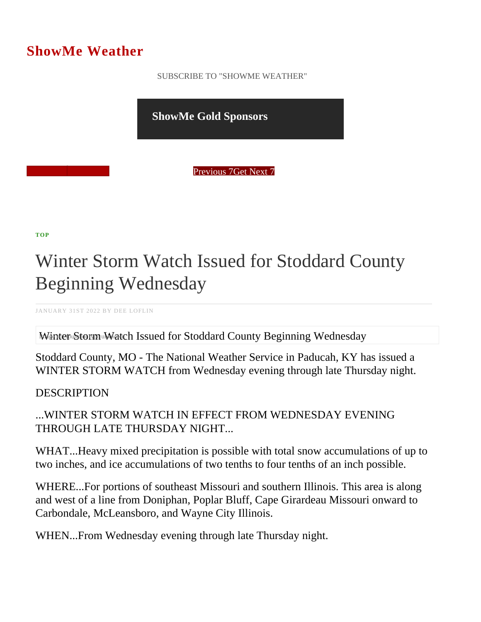## ShowMe Weather

 [SUBSCRIBE TO "SHOWME WEATHER"](/blog_rss.php)

ShowMe Gold Sponsors

Previous Get Next 7

[TOP](/var/www/showmetimes.com/root/javascript:blogScrollToTop()

## Winter Storm Watch Issued for Stoddard County Beginning Wednesday

JANUARY 31ST 2022 BY DEE LOFLIN

Winter Storm Watch Issued for Stoddard County Beginning Wednesday

Stoddard County, MO - The National Weather Service in Paducah, KY has issued a WINTER STORM WATCH from Wednesday evening through late Thursday night.

**DESCRIPTION** 

...WINTER STORM WATCH IN EFFECT FROM WEDNESDAY EVENING THROUGH LATE THURSDAY NIGHT...

WHAT...Heavy mixed precipitation is possible with total snow accumulations of up to two inches, and ice accumulations of two tenths to four tenths of an inch possible.

WHERE...For portions of southeast Missouri and southern Illinois. This area is along and west of a line from Doniphan, Poplar Bluff, Cape Girardeau Missouri onward to Carbondale, McLeansboro, and Wayne City Illinois.

WHEN...From Wednesday evening through late Thursday night.